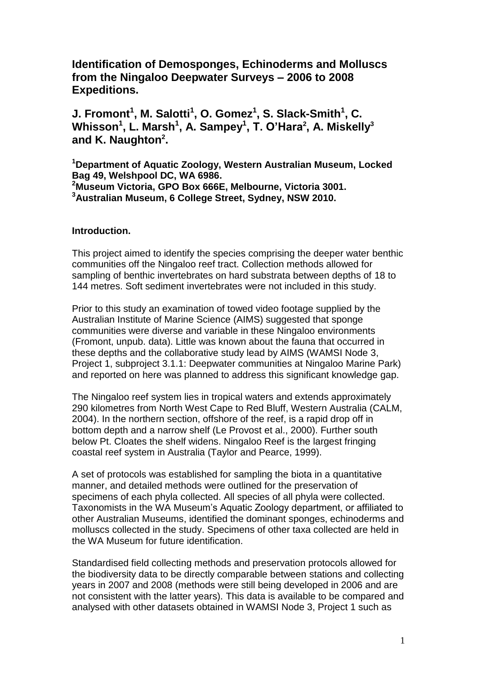**Identification of Demosponges, Echinoderms and Molluscs from the Ningaloo Deepwater Surveys – 2006 to 2008 Expeditions.**

**J. Fromont<sup>1</sup> , M. Salotti<sup>1</sup> , O. Gomez<sup>1</sup> , S. Slack-Smith<sup>1</sup> , C. Whisson<sup>1</sup> , L. Marsh<sup>1</sup> , A. Sampey<sup>1</sup> , T. O'Hara<sup>2</sup> , A. Miskelly<sup>3</sup> and K. Naughton<sup>2</sup> .**

**Department of Aquatic Zoology, Western Australian Museum, Locked Bag 49, Welshpool DC, WA 6986. Museum Victoria, GPO Box 666E, Melbourne, Victoria 3001. Australian Museum, 6 College Street, Sydney, NSW 2010.**

### **Introduction.**

This project aimed to identify the species comprising the deeper water benthic communities off the Ningaloo reef tract. Collection methods allowed for sampling of benthic invertebrates on hard substrata between depths of 18 to 144 metres. Soft sediment invertebrates were not included in this study.

Prior to this study an examination of towed video footage supplied by the Australian Institute of Marine Science (AIMS) suggested that sponge communities were diverse and variable in these Ningaloo environments (Fromont, unpub. data). Little was known about the fauna that occurred in these depths and the collaborative study lead by AIMS (WAMSI Node 3, Project 1, subproject 3.1.1: Deepwater communities at Ningaloo Marine Park) and reported on here was planned to address this significant knowledge gap.

The Ningaloo reef system lies in tropical waters and extends approximately 290 kilometres from North West Cape to Red Bluff, Western Australia (CALM, 2004). In the northern section, offshore of the reef, is a rapid drop off in bottom depth and a narrow shelf (Le Provost et al., 2000). Further south below Pt. Cloates the shelf widens. Ningaloo Reef is the largest fringing coastal reef system in Australia (Taylor and Pearce, 1999).

A set of protocols was established for sampling the biota in a quantitative manner, and detailed methods were outlined for the preservation of specimens of each phyla collected. All species of all phyla were collected. Taxonomists in the WA Museum's Aquatic Zoology department, or affiliated to other Australian Museums, identified the dominant sponges, echinoderms and molluscs collected in the study. Specimens of other taxa collected are held in the WA Museum for future identification.

Standardised field collecting methods and preservation protocols allowed for the biodiversity data to be directly comparable between stations and collecting years in 2007 and 2008 (methods were still being developed in 2006 and are not consistent with the latter years). This data is available to be compared and analysed with other datasets obtained in WAMSI Node 3, Project 1 such as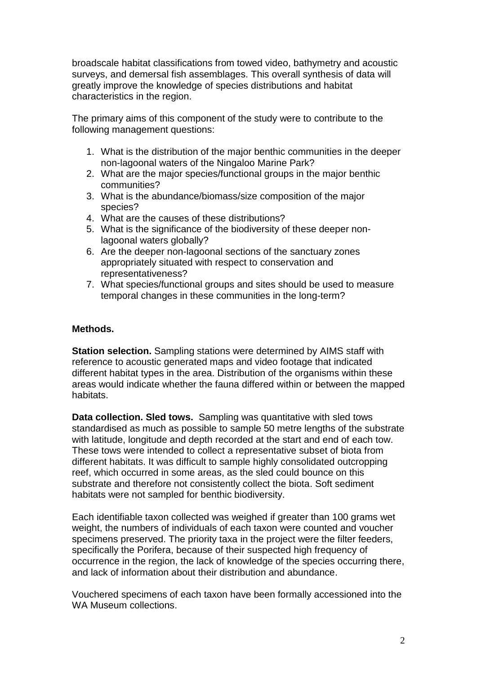broadscale habitat classifications from towed video, bathymetry and acoustic surveys, and demersal fish assemblages. This overall synthesis of data will greatly improve the knowledge of species distributions and habitat characteristics in the region.

The primary aims of this component of the study were to contribute to the following management questions:

- 1. What is the distribution of the major benthic communities in the deeper non-lagoonal waters of the Ningaloo Marine Park?
- 2. What are the major species/functional groups in the major benthic communities?
- 3. What is the abundance/biomass/size composition of the major species?
- 4. What are the causes of these distributions?
- 5. What is the significance of the biodiversity of these deeper nonlagoonal waters globally?
- 6. Are the deeper non-lagoonal sections of the sanctuary zones appropriately situated with respect to conservation and representativeness?
- 7. What species/functional groups and sites should be used to measure temporal changes in these communities in the long-term?

### **Methods.**

**Station selection.** Sampling stations were determined by AIMS staff with reference to acoustic generated maps and video footage that indicated different habitat types in the area. Distribution of the organisms within these areas would indicate whether the fauna differed within or between the mapped habitats.

**Data collection. Sled tows.** Sampling was quantitative with sled tows standardised as much as possible to sample 50 metre lengths of the substrate with latitude, longitude and depth recorded at the start and end of each tow. These tows were intended to collect a representative subset of biota from different habitats. It was difficult to sample highly consolidated outcropping reef, which occurred in some areas, as the sled could bounce on this substrate and therefore not consistently collect the biota. Soft sediment habitats were not sampled for benthic biodiversity.

Each identifiable taxon collected was weighed if greater than 100 grams wet weight, the numbers of individuals of each taxon were counted and voucher specimens preserved. The priority taxa in the project were the filter feeders, specifically the Porifera, because of their suspected high frequency of occurrence in the region, the lack of knowledge of the species occurring there, and lack of information about their distribution and abundance.

Vouchered specimens of each taxon have been formally accessioned into the WA Museum collections.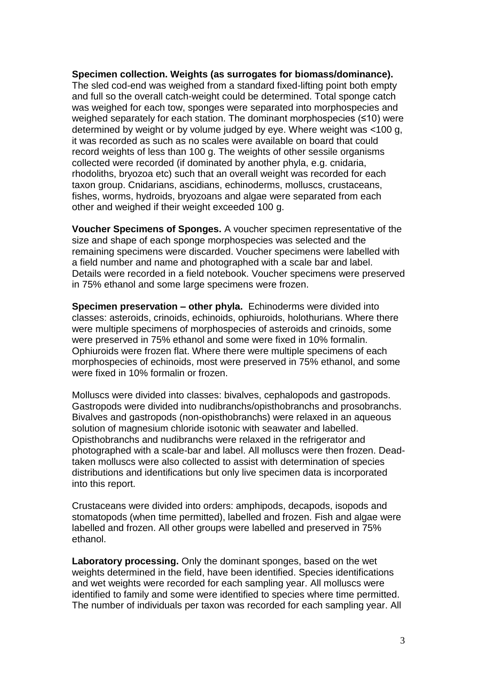### **Specimen collection. Weights (as surrogates for biomass/dominance).**

The sled cod-end was weighed from a standard fixed-lifting point both empty and full so the overall catch-weight could be determined. Total sponge catch was weighed for each tow, sponges were separated into morphospecies and weighed separately for each station. The dominant morphospecies (≤10) were determined by weight or by volume judged by eye. Where weight was <100 g, it was recorded as such as no scales were available on board that could record weights of less than 100 g. The weights of other sessile organisms collected were recorded (if dominated by another phyla, e.g. cnidaria, rhodoliths, bryozoa etc) such that an overall weight was recorded for each taxon group. Cnidarians, ascidians, echinoderms, molluscs, crustaceans, fishes, worms, hydroids, bryozoans and algae were separated from each other and weighed if their weight exceeded 100 g.

**Voucher Specimens of Sponges.** A voucher specimen representative of the size and shape of each sponge morphospecies was selected and the remaining specimens were discarded. Voucher specimens were labelled with a field number and name and photographed with a scale bar and label. Details were recorded in a field notebook. Voucher specimens were preserved in 75% ethanol and some large specimens were frozen.

**Specimen preservation – other phyla.** Echinoderms were divided into classes: asteroids, crinoids, echinoids, ophiuroids, holothurians. Where there were multiple specimens of morphospecies of asteroids and crinoids, some were preserved in 75% ethanol and some were fixed in 10% formalin. Ophiuroids were frozen flat. Where there were multiple specimens of each morphospecies of echinoids, most were preserved in 75% ethanol, and some were fixed in 10% formalin or frozen.

Molluscs were divided into classes: bivalves, cephalopods and gastropods. Gastropods were divided into nudibranchs/opisthobranchs and prosobranchs. Bivalves and gastropods (non-opisthobranchs) were relaxed in an aqueous solution of magnesium chloride isotonic with seawater and labelled. Opisthobranchs and nudibranchs were relaxed in the refrigerator and photographed with a scale-bar and label. All molluscs were then frozen. Deadtaken molluscs were also collected to assist with determination of species distributions and identifications but only live specimen data is incorporated into this report.

Crustaceans were divided into orders: amphipods, decapods, isopods and stomatopods (when time permitted), labelled and frozen. Fish and algae were labelled and frozen. All other groups were labelled and preserved in 75% ethanol.

**Laboratory processing.** Only the dominant sponges, based on the wet weights determined in the field, have been identified. Species identifications and wet weights were recorded for each sampling year. All molluscs were identified to family and some were identified to species where time permitted. The number of individuals per taxon was recorded for each sampling year. All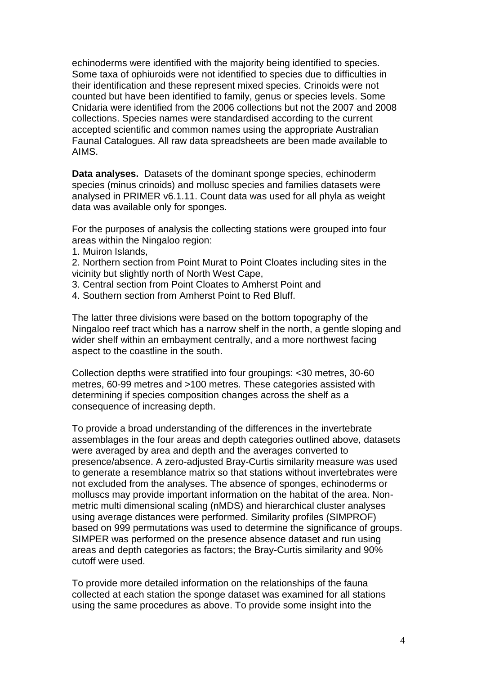echinoderms were identified with the majority being identified to species. Some taxa of ophiuroids were not identified to species due to difficulties in their identification and these represent mixed species. Crinoids were not counted but have been identified to family, genus or species levels. Some Cnidaria were identified from the 2006 collections but not the 2007 and 2008 collections. Species names were standardised according to the current accepted scientific and common names using the appropriate Australian Faunal Catalogues. All raw data spreadsheets are been made available to AIMS.

**Data analyses.** Datasets of the dominant sponge species, echinoderm species (minus crinoids) and mollusc species and families datasets were analysed in PRIMER v6.1.11. Count data was used for all phyla as weight data was available only for sponges.

For the purposes of analysis the collecting stations were grouped into four areas within the Ningaloo region:

- 1. Muiron Islands,
- 2. Northern section from Point Murat to Point Cloates including sites in the vicinity but slightly north of North West Cape,
- 3. Central section from Point Cloates to Amherst Point and
- 4. Southern section from Amherst Point to Red Bluff.

The latter three divisions were based on the bottom topography of the Ningaloo reef tract which has a narrow shelf in the north, a gentle sloping and wider shelf within an embayment centrally, and a more northwest facing aspect to the coastline in the south.

Collection depths were stratified into four groupings: <30 metres, 30-60 metres, 60-99 metres and >100 metres. These categories assisted with determining if species composition changes across the shelf as a consequence of increasing depth.

To provide a broad understanding of the differences in the invertebrate assemblages in the four areas and depth categories outlined above, datasets were averaged by area and depth and the averages converted to presence/absence. A zero-adjusted Bray-Curtis similarity measure was used to generate a resemblance matrix so that stations without invertebrates were not excluded from the analyses. The absence of sponges, echinoderms or molluscs may provide important information on the habitat of the area. Nonmetric multi dimensional scaling (nMDS) and hierarchical cluster analyses using average distances were performed. Similarity profiles (SIMPROF) based on 999 permutations was used to determine the significance of groups. SIMPER was performed on the presence absence dataset and run using areas and depth categories as factors; the Bray-Curtis similarity and 90% cutoff were used.

To provide more detailed information on the relationships of the fauna collected at each station the sponge dataset was examined for all stations using the same procedures as above. To provide some insight into the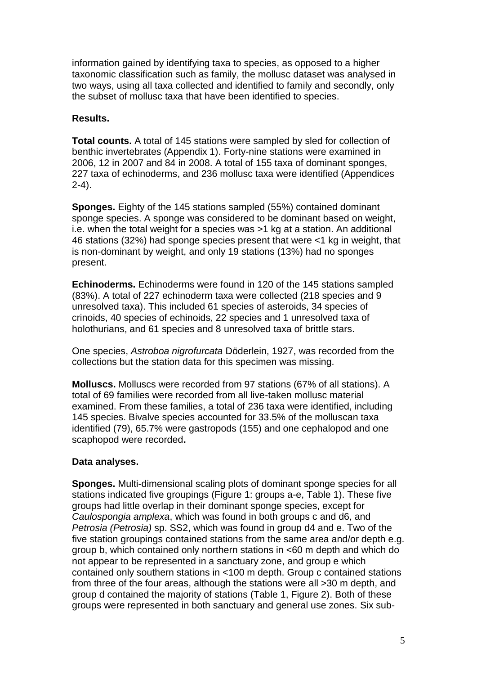information gained by identifying taxa to species, as opposed to a higher taxonomic classification such as family, the mollusc dataset was analysed in two ways, using all taxa collected and identified to family and secondly, only the subset of mollusc taxa that have been identified to species.

### **Results.**

**Total counts.** A total of 145 stations were sampled by sled for collection of benthic invertebrates (Appendix 1). Forty-nine stations were examined in 2006, 12 in 2007 and 84 in 2008. A total of 155 taxa of dominant sponges, 227 taxa of echinoderms, and 236 mollusc taxa were identified (Appendices 2-4).

**Sponges.** Eighty of the 145 stations sampled (55%) contained dominant sponge species. A sponge was considered to be dominant based on weight, i.e. when the total weight for a species was >1 kg at a station. An additional 46 stations (32%) had sponge species present that were <1 kg in weight, that is non-dominant by weight, and only 19 stations (13%) had no sponges present.

**Echinoderms.** Echinoderms were found in 120 of the 145 stations sampled (83%). A total of 227 echinoderm taxa were collected (218 species and 9 unresolved taxa). This included 61 species of asteroids, 34 species of crinoids, 40 species of echinoids, 22 species and 1 unresolved taxa of holothurians, and 61 species and 8 unresolved taxa of brittle stars.

One species, *Astroboa nigrofurcata* Döderlein, 1927, was recorded from the collections but the station data for this specimen was missing.

**Molluscs.** Molluscs were recorded from 97 stations (67% of all stations). A total of 69 families were recorded from all live-taken mollusc material examined. From these families, a total of 236 taxa were identified, including 145 species. Bivalve species accounted for 33.5% of the molluscan taxa identified (79), 65.7% were gastropods (155) and one cephalopod and one scaphopod were recorded**.** 

### **Data analyses.**

**Sponges.** Multi-dimensional scaling plots of dominant sponge species for all stations indicated five groupings (Figure 1: groups a-e, Table 1). These five groups had little overlap in their dominant sponge species, except for *Caulospongia amplexa*, which was found in both groups c and d6, and *Petrosia (Petrosia)* sp. SS2, which was found in group d4 and e. Two of the five station groupings contained stations from the same area and/or depth e.g. group b, which contained only northern stations in <60 m depth and which do not appear to be represented in a sanctuary zone, and group e which contained only southern stations in <100 m depth. Group c contained stations from three of the four areas, although the stations were all >30 m depth, and group d contained the majority of stations (Table 1, Figure 2). Both of these groups were represented in both sanctuary and general use zones. Six sub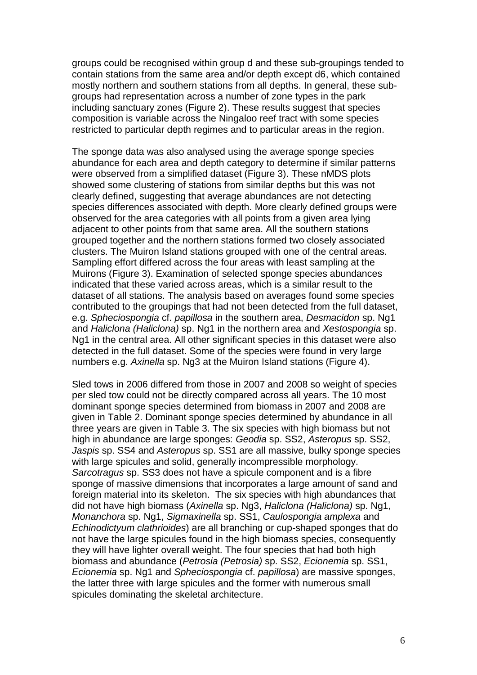groups could be recognised within group d and these sub-groupings tended to contain stations from the same area and/or depth except d6, which contained mostly northern and southern stations from all depths. In general, these subgroups had representation across a number of zone types in the park including sanctuary zones (Figure 2). These results suggest that species composition is variable across the Ningaloo reef tract with some species restricted to particular depth regimes and to particular areas in the region.

The sponge data was also analysed using the average sponge species abundance for each area and depth category to determine if similar patterns were observed from a simplified dataset (Figure 3). These nMDS plots showed some clustering of stations from similar depths but this was not clearly defined, suggesting that average abundances are not detecting species differences associated with depth. More clearly defined groups were observed for the area categories with all points from a given area lying adjacent to other points from that same area. All the southern stations grouped together and the northern stations formed two closely associated clusters. The Muiron Island stations grouped with one of the central areas. Sampling effort differed across the four areas with least sampling at the Muirons (Figure 3). Examination of selected sponge species abundances indicated that these varied across areas, which is a similar result to the dataset of all stations. The analysis based on averages found some species contributed to the groupings that had not been detected from the full dataset, e.g. *Spheciospongia* cf. *papillosa* in the southern area, *Desmacidon* sp. Ng1 and *Haliclona (Haliclona)* sp. Ng1 in the northern area and *Xestospongia* sp. Ng1 in the central area. All other significant species in this dataset were also detected in the full dataset. Some of the species were found in very large numbers e.g. *Axinella* sp. Ng3 at the Muiron Island stations (Figure 4).

Sled tows in 2006 differed from those in 2007 and 2008 so weight of species per sled tow could not be directly compared across all years. The 10 most dominant sponge species determined from biomass in 2007 and 2008 are given in Table 2. Dominant sponge species determined by abundance in all three years are given in Table 3. The six species with high biomass but not high in abundance are large sponges: *Geodia* sp. SS2, *Asteropus* sp. SS2, *Jaspis* sp. SS4 and *Asteropus* sp. SS1 are all massive, bulky sponge species with large spicules and solid, generally incompressible morphology. *Sarcotragus* sp. SS3 does not have a spicule component and is a fibre sponge of massive dimensions that incorporates a large amount of sand and foreign material into its skeleton. The six species with high abundances that did not have high biomass (*Axinella* sp. Ng3, *Haliclona (Haliclona)* sp. Ng1, *Monanchora* sp. Ng1, *Sigmaxinella* sp. SS1, *Caulospongia amplexa* and *Echinodictyum clathrioides*) are all branching or cup-shaped sponges that do not have the large spicules found in the high biomass species, consequently they will have lighter overall weight. The four species that had both high biomass and abundance (*Petrosia (Petrosia)* sp. SS2, *Ecionemia* sp. SS1, *Ecionemia* sp. Ng1 and *Spheciospongia* cf. *papillosa*) are massive sponges, the latter three with large spicules and the former with numerous small spicules dominating the skeletal architecture.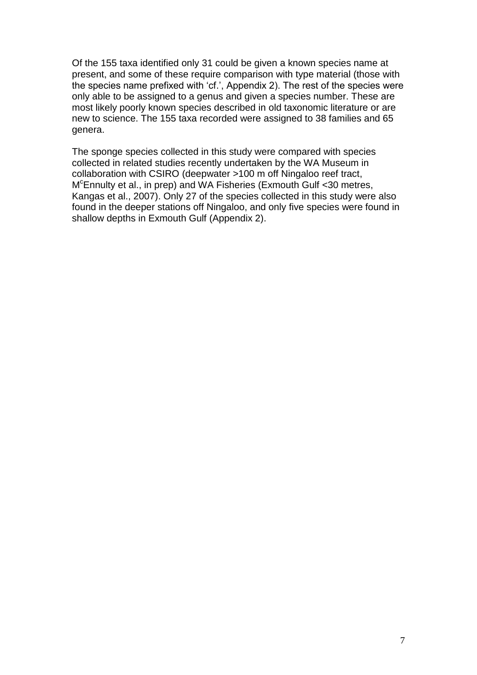Of the 155 taxa identified only 31 could be given a known species name at present, and some of these require comparison with type material (those with the species name prefixed with 'cf.', Appendix 2). The rest of the species were only able to be assigned to a genus and given a species number. These are most likely poorly known species described in old taxonomic literature or are new to science. The 155 taxa recorded were assigned to 38 families and 65 genera.

The sponge species collected in this study were compared with species collected in related studies recently undertaken by the WA Museum in collaboration with CSIRO (deepwater >100 m off Ningaloo reef tract, M <sup>c</sup>Ennulty et al., in prep) and WA Fisheries (Exmouth Gulf <30 metres, Kangas et al., 2007). Only 27 of the species collected in this study were also found in the deeper stations off Ningaloo, and only five species were found in shallow depths in Exmouth Gulf (Appendix 2).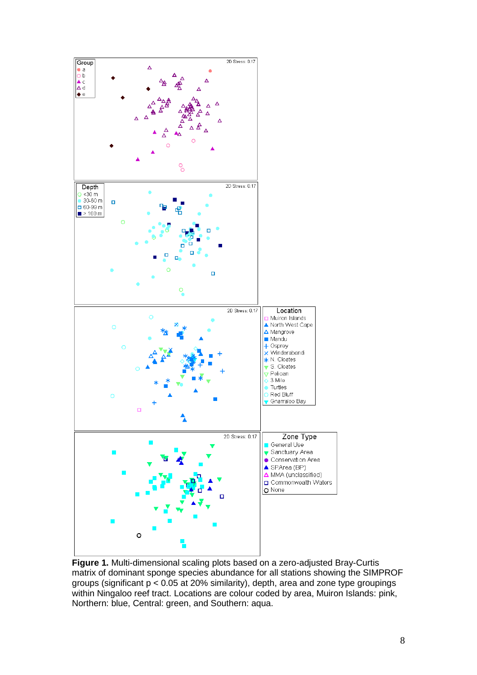

**Figure 1.** Multi-dimensional scaling plots based on a zero-adjusted Bray-Curtis matrix of dominant sponge species abundance for all stations showing the SIMPROF groups (significant p < 0.05 at 20% similarity), depth, area and zone type groupings within Ningaloo reef tract. Locations are colour coded by area, Muiron Islands: pink, Northern: blue, Central: green, and Southern: aqua.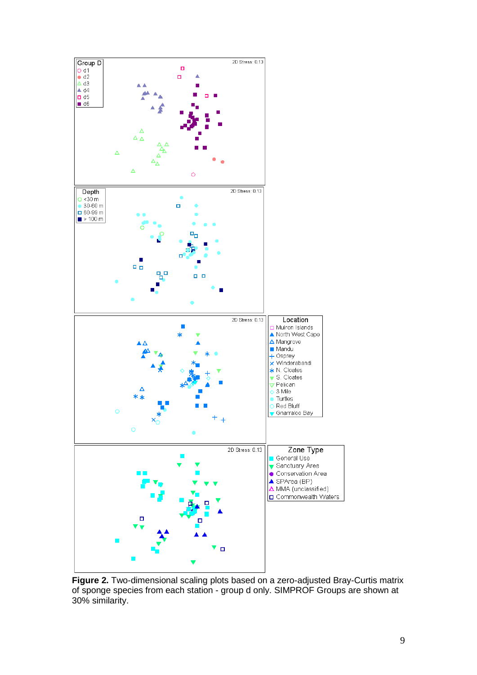

**Figure 2.** Two-dimensional scaling plots based on a zero-adjusted Bray-Curtis matrix of sponge species from each station - group d only. SIMPROF Groups are shown at 30% similarity.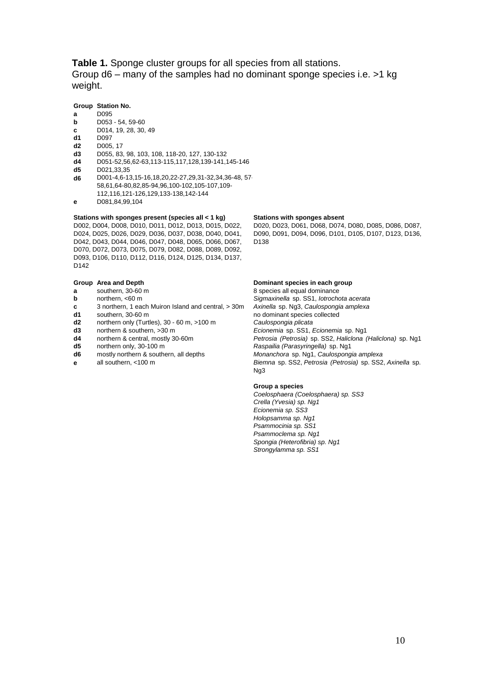**Table 1.** Sponge cluster groups for all species from all stations. Group d6 – many of the samples had no dominant sponge species i.e. >1 kg weight.

### **Group Station No.**

- **a** D095
- **b** D053 54, 59-60
- **c** D014, 19, 28, 30, 49 **d1** D097
- **d2** D005, 17
- 
- **d3** D055, 83, 98, 103, 108, 118-20, 127, 130-132 **d4** D051-52,56,62-63,113-115,117,128,139-141,145-146
- **d5** D021,33,35
- **d6** D001-4,6-13,15-16,18,20,22-27,29,31-32,34,36-48, 57- 58,61,64-80,82,85-94,96,100-102,105-107,109- 112,116,121-126,129,133-138,142-144
- **e** D081,84,99,104

#### **Stations with sponges present (species all < 1 kg) Stations with sponges absent**

D002, D004, D008, D010, D011, D012, D013, D015, D022, D024, D025, D026, D029, D036, D037, D038, D040, D041, D042, D043, D044, D046, D047, D048, D065, D066, D067, D070, D072, D073, D075, D079, D082, D088, D089, D092, D093, D106, D110, D112, D116, D124, D125, D134, D137, D142

#### **Group Area and Depth Dominant species in each group**

- **a** southern, 30-60 m 8 species all equal dominance
- 
- **c** 3 northern, 1 each Muiron Island and central, > 30m *Axinella* sp. Ng3, *Caulospongia amplexa*
- 
- northern only (Turtles), 30 60 m, >100 m
- 
- 
- 
- 
- 

D020, D023, D061, D068, D074, D080, D085, D086, D087, D090, D091, D094, D096, D101, D105, D107, D123, D136, D138

**b** northern, <60 m *Sigmaxinella* sp. SS1, *Iotrochota acerata* **d1** southern, 30-60 m<br> **d2** on northern only (Turtles), 30 - 60 m, >100 m<br> **d2** on thern only (Turtles), 30 - 60 m, >100 m<br> **Caulospongia plicata d3** northern & southern, >30 m *Ecionemia* sp. SS1, *Ecionemia* sp. Ng1 **d4** northern & central, mostly 30-60m *Petrosia (Petrosia)* sp. SS2, *Haliclona (Haliclona)* sp. Ng1 **d5** northern only, 30-100 m<br> **d6** mostly northern & southern, all depths *Raspailia (Parasyringella)* sp. Ng1<br> *Monanchora* sp. Ng1, *Caulospong* Monanchora sp. Ng1, Caulospongia amplexa **e** all southern, <100 m *Biemna* sp. SS2, *Petrosia (Petrosia)* sp. SS2, *Axinella* sp. Ng3

### **Group a species**

*Coelosphaera (Coelosphaera) sp. SS3 Crella (Yvesia) sp. Ng1 Ecionemia sp. SS3 Holopsamma sp. Ng1 Psammocinia sp. SS1 Psammoclema sp. Ng1 Spongia (Heterofibria) sp. Ng1 Strongylamma sp. SS1*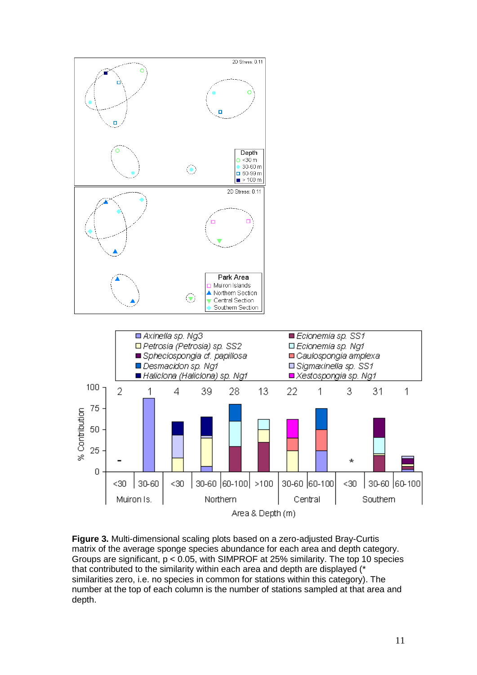

**Figure 3.** Multi-dimensional scaling plots based on a zero-adjusted Bray-Curtis matrix of the average sponge species abundance for each area and depth category. Groups are significant, p < 0.05, with SIMPROF at 25% similarity. The top 10 species that contributed to the similarity within each area and depth are displayed (\* similarities zero, i.e. no species in common for stations within this category). The number at the top of each column is the number of stations sampled at that area and depth.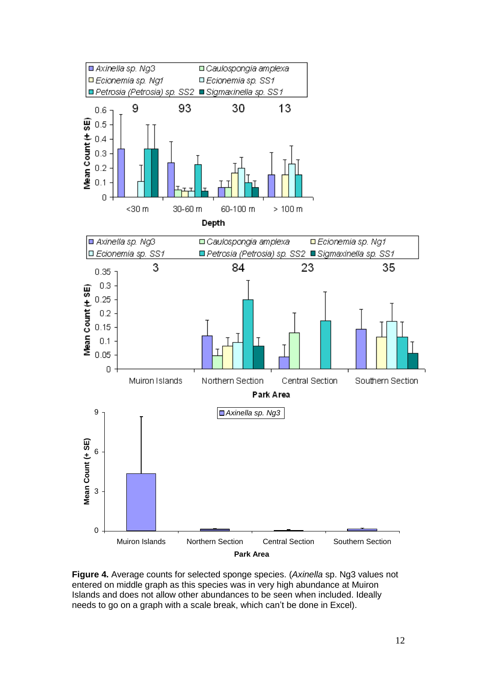

**Figure 4.** Average counts for selected sponge species. (*Axinella* sp. Ng3 values not entered on middle graph as this species was in very high abundance at Muiron Islands and does not allow other abundances to be seen when included. Ideally needs to go on a graph with a scale break, which can't be done in Excel).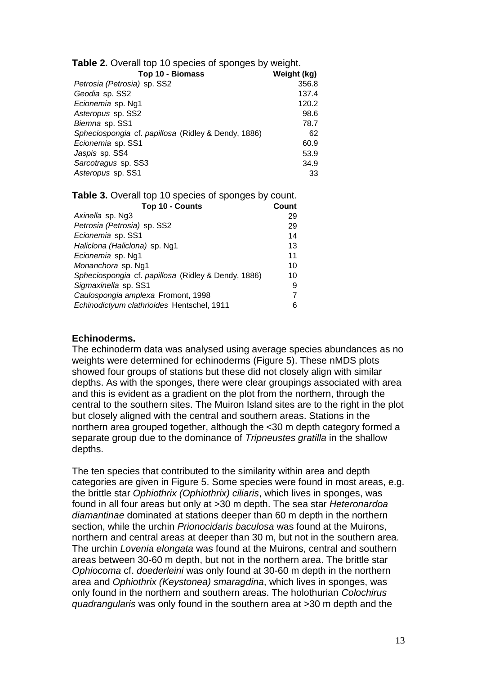| <b>Table 2.</b> Overall top 10 species of sponges by weight. |             |
|--------------------------------------------------------------|-------------|
| Top 10 - Biomass                                             | Weight (kg) |
| Petrosia (Petrosia) sp. SS2                                  | 356.8       |
| Geodia sp. SS2                                               | 137.4       |
| Ecionemia sp. Ng1                                            | 120.2       |
| Asteropus sp. SS2                                            | 98.6        |
| Biemna sp. SS1                                               | 78.7        |
| Spheciospongia cf. papillosa (Ridley & Dendy, 1886)          | 62          |
| Ecionemia sp. SS1                                            | 60.9        |
| Jaspis sp. SS4                                               | 53.9        |
| Sarcotragus sp. SS3                                          | 34.9        |
| Asteropus sp. SS1                                            | 33          |

| <b>Table 3.</b> Overall top 10 species of sponges by count. |       |
|-------------------------------------------------------------|-------|
| Top 10 - Counts                                             | Count |
| Axinella sp. Ng3                                            | 29    |
| Petrosia (Petrosia) sp. SS2                                 | 29    |
| Ecionemia sp. SS1                                           | 14    |
| Haliclona (Haliclona) sp. Ng1                               | 13    |
| Ecionemia sp. Ng1                                           | 11    |
| Monanchora sp. Ng1                                          | 10    |
| Spheciospongia cf. papillosa (Ridley & Dendy, 1886)         | 10    |
| Sigmaxinella sp. SS1                                        | 9     |
| Caulospongia amplexa Fromont, 1998                          | 7     |
| Echinodictyum clathrioides Hentschel, 1911                  | 6     |

### **Echinoderms.**

The echinoderm data was analysed using average species abundances as no weights were determined for echinoderms (Figure 5). These nMDS plots showed four groups of stations but these did not closely align with similar depths. As with the sponges, there were clear groupings associated with area and this is evident as a gradient on the plot from the northern, through the central to the southern sites. The Muiron Island sites are to the right in the plot but closely aligned with the central and southern areas. Stations in the northern area grouped together, although the <30 m depth category formed a separate group due to the dominance of *Tripneustes gratilla* in the shallow depths.

The ten species that contributed to the similarity within area and depth categories are given in Figure 5. Some species were found in most areas, e.g. the brittle star *Ophiothrix (Ophiothrix) ciliaris*, which lives in sponges, was found in all four areas but only at >30 m depth. The sea star *Heteronardoa diamantinae* dominated at stations deeper than 60 m depth in the northern section, while the urchin *Prionocidaris baculosa* was found at the Muirons, northern and central areas at deeper than 30 m, but not in the southern area. The urchin *Lovenia elongata* was found at the Muirons, central and southern areas between 30-60 m depth, but not in the northern area. The brittle star *Ophiocoma* cf. *doederleini* was only found at 30-60 m depth in the northern area and *Ophiothrix (Keystonea) smaragdina*, which lives in sponges, was only found in the northern and southern areas. The holothurian *Colochirus quadrangularis* was only found in the southern area at >30 m depth and the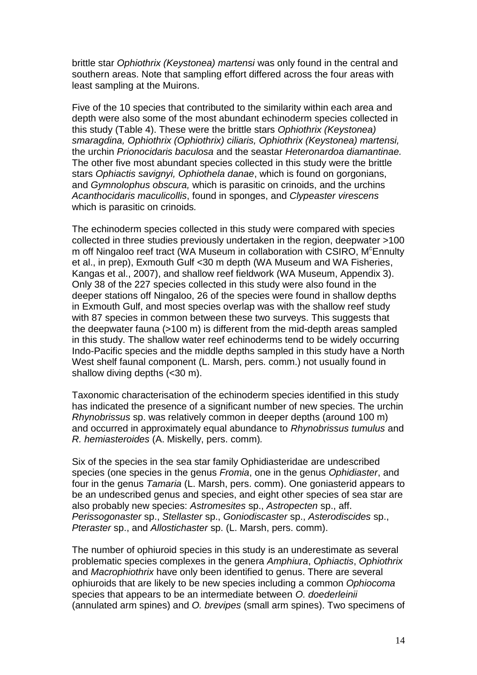brittle star *Ophiothrix (Keystonea) martensi* was only found in the central and southern areas. Note that sampling effort differed across the four areas with least sampling at the Muirons.

Five of the 10 species that contributed to the similarity within each area and depth were also some of the most abundant echinoderm species collected in this study (Table 4). These were the brittle stars *Ophiothrix (Keystonea) smaragdina, Ophiothrix (Ophiothrix) ciliaris, Ophiothrix (Keystonea) martensi,*  the urchin *Prionocidaris baculosa* and the seastar *Heteronardoa diamantinae.* The other five most abundant species collected in this study were the brittle stars *Ophiactis savignyi, Ophiothela danae*, which is found on gorgonians, and *Gymnolophus obscura,* which is parasitic on crinoids, and the urchins *Acanthocidaris maculicollis*, found in sponges, and *Clypeaster virescens* which is parasitic on crinoids*.*

The echinoderm species collected in this study were compared with species collected in three studies previously undertaken in the region, deepwater >100 m off Ningaloo reef tract (WA Museum in collaboration with CSIRO, M<sup>c</sup>Ennulty et al., in prep), Exmouth Gulf <30 m depth (WA Museum and WA Fisheries, Kangas et al., 2007), and shallow reef fieldwork (WA Museum, Appendix 3). Only 38 of the 227 species collected in this study were also found in the deeper stations off Ningaloo, 26 of the species were found in shallow depths in Exmouth Gulf, and most species overlap was with the shallow reef study with 87 species in common between these two surveys. This suggests that the deepwater fauna (>100 m) is different from the mid-depth areas sampled in this study. The shallow water reef echinoderms tend to be widely occurring Indo-Pacific species and the middle depths sampled in this study have a North West shelf faunal component (L. Marsh, pers. comm.) not usually found in shallow diving depths (<30 m).

Taxonomic characterisation of the echinoderm species identified in this study has indicated the presence of a significant number of new species. The urchin *Rhynobrissus* sp. was relatively common in deeper depths (around 100 m) and occurred in approximately equal abundance to *Rhynobrissus tumulus* and *R. hemiasteroides* (A. Miskelly, pers. comm)*.*

Six of the species in the sea star family Ophidiasteridae are undescribed species (one species in the genus *Fromia*, one in the genus *Ophidiaster*, and four in the genus *Tamaria* (L. Marsh, pers. comm). One goniasterid appears to be an undescribed genus and species, and eight other species of sea star are also probably new species: *Astromesites* sp., *Astropecten* sp., aff. *Perissogonaster* sp., *Stellaster* sp., *Goniodiscaster* sp., *Asterodiscides* sp., *Pteraster* sp., and *Allostichaster* sp. (L. Marsh, pers. comm).

The number of ophiuroid species in this study is an underestimate as several problematic species complexes in the genera *Amphiura*, *Ophiactis*, *Ophiothrix* and *Macrophiothrix* have only been identified to genus. There are several ophiuroids that are likely to be new species including a common *Ophiocoma* species that appears to be an intermediate between *O. doederleinii* (annulated arm spines) and *O. brevipes* (small arm spines). Two specimens of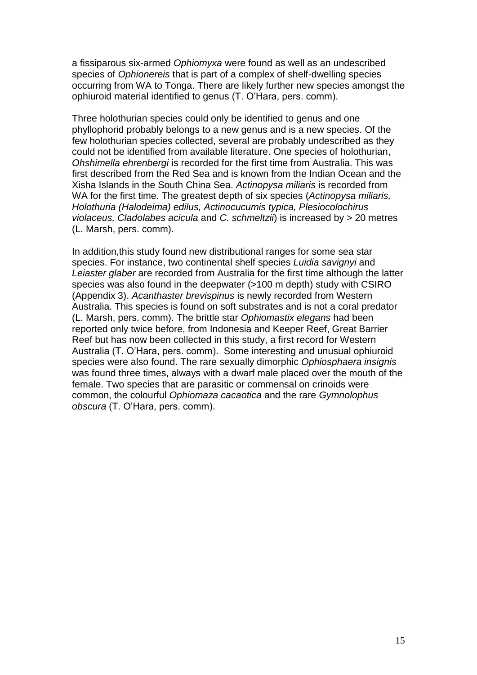a fissiparous six-armed *Ophiomyxa* were found as well as an undescribed species of *Ophionereis* that is part of a complex of shelf-dwelling species occurring from WA to Tonga. There are likely further new species amongst the ophiuroid material identified to genus (T. O'Hara, pers. comm).

Three holothurian species could only be identified to genus and one phyllophorid probably belongs to a new genus and is a new species. Of the few holothurian species collected, several are probably undescribed as they could not be identified from available literature. One species of holothurian, *Ohshimella ehrenbergi* is recorded for the first time from Australia. This was first described from the Red Sea and is known from the Indian Ocean and the Xisha Islands in the South China Sea. *Actinopysa miliaris* is recorded from WA for the first time. The greatest depth of six species (*Actinopysa miliaris, Holothuria (Halodeima) edilus, Actinocucumis typica, Plesiocolochirus violaceus, Cladolabes acicula* and *C. schmeltzii*) is increased by > 20 metres (L. Marsh, pers. comm).

In addition,this study found new distributional ranges for some sea star species. For instance, two continental shelf species *Luidia savignyi* and *Leiaster glaber* are recorded from Australia for the first time although the latter species was also found in the deepwater (>100 m depth) study with CSIRO (Appendix 3). *Acanthaster brevispinus* is newly recorded from Western Australia. This species is found on soft substrates and is not a coral predator (L. Marsh, pers. comm). The brittle star *Ophiomastix elegans* had been reported only twice before, from Indonesia and Keeper Reef, Great Barrier Reef but has now been collected in this study, a first record for Western Australia (T. O'Hara, pers. comm). Some interesting and unusual ophiuroid species were also found. The rare sexually dimorphic *Ophiosphaera insignis* was found three times, always with a dwarf male placed over the mouth of the female. Two species that are parasitic or commensal on crinoids were common, the colourful *Ophiomaza cacaotica* and the rare *Gymnolophus obscura* (T. O'Hara, pers. comm).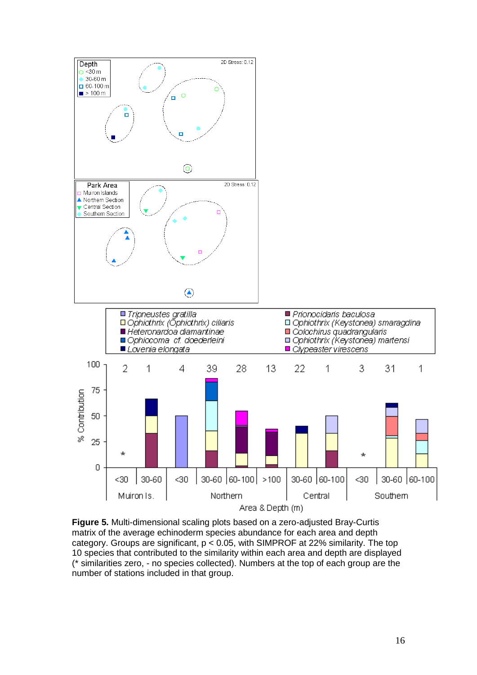

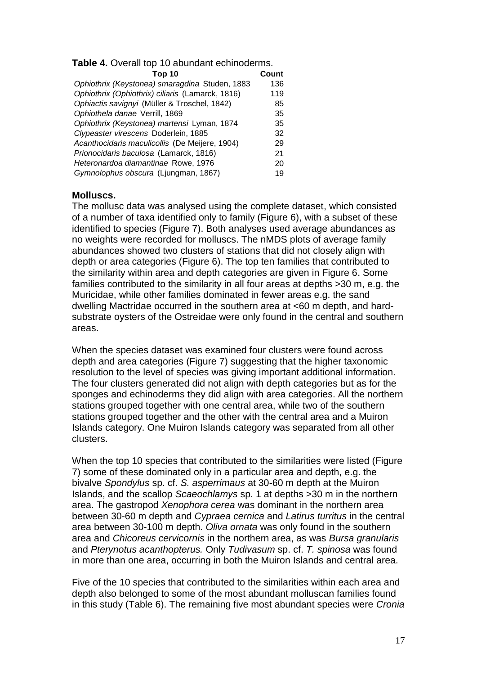**Table 4.** Overall top 10 abundant echinoderms.

| Top 10                                           | Count |
|--------------------------------------------------|-------|
| Ophiothrix (Keystonea) smaragdina Studen, 1883   | 136   |
| Ophiothrix (Ophiothrix) ciliaris (Lamarck, 1816) | 119   |
| Ophiactis savignyi (Müller & Troschel, 1842)     | 85    |
| Ophiothela danae Verrill, 1869                   | 35    |
| Ophiothrix (Keystonea) martensi Lyman, 1874      | 35    |
| Clypeaster virescens Doderlein, 1885             | 32    |
| Acanthocidaris maculicollis (De Meijere, 1904)   | 29    |
| Prionocidaris baculosa (Lamarck, 1816)           | 21    |
| Heteronardoa diamantinae Rowe, 1976              | 20    |
| Gymnolophus obscura (Ljungman, 1867)             | 19    |
|                                                  |       |

### **Molluscs.**

The mollusc data was analysed using the complete dataset, which consisted of a number of taxa identified only to family (Figure 6), with a subset of these identified to species (Figure 7). Both analyses used average abundances as no weights were recorded for molluscs. The nMDS plots of average family abundances showed two clusters of stations that did not closely align with depth or area categories (Figure 6). The top ten families that contributed to the similarity within area and depth categories are given in Figure 6. Some families contributed to the similarity in all four areas at depths >30 m, e.g. the Muricidae, while other families dominated in fewer areas e.g. the sand dwelling Mactridae occurred in the southern area at <60 m depth, and hardsubstrate oysters of the Ostreidae were only found in the central and southern areas.

When the species dataset was examined four clusters were found across depth and area categories (Figure 7) suggesting that the higher taxonomic resolution to the level of species was giving important additional information. The four clusters generated did not align with depth categories but as for the sponges and echinoderms they did align with area categories. All the northern stations grouped together with one central area, while two of the southern stations grouped together and the other with the central area and a Muiron Islands category. One Muiron Islands category was separated from all other clusters.

When the top 10 species that contributed to the similarities were listed (Figure 7) some of these dominated only in a particular area and depth, e.g. the bivalve *Spondylus* sp. cf. *S. asperrimaus* at 30-60 m depth at the Muiron Islands, and the scallop *Scaeochlamys* sp. 1 at depths >30 m in the northern area. The gastropod *Xenophora cerea* was dominant in the northern area between 30-60 m depth and *Cypraea cernica* and *Latirus turritus* in the central area between 30-100 m depth. *Oliva ornata* was only found in the southern area and *Chicoreus cervicornis* in the northern area, as was *Bursa granularis* and *Pterynotus acanthopterus.* Only *Tudivasum* sp. cf. *T. spinosa* was found in more than one area, occurring in both the Muiron Islands and central area.

Five of the 10 species that contributed to the similarities within each area and depth also belonged to some of the most abundant molluscan families found in this study (Table 6). The remaining five most abundant species were *Cronia*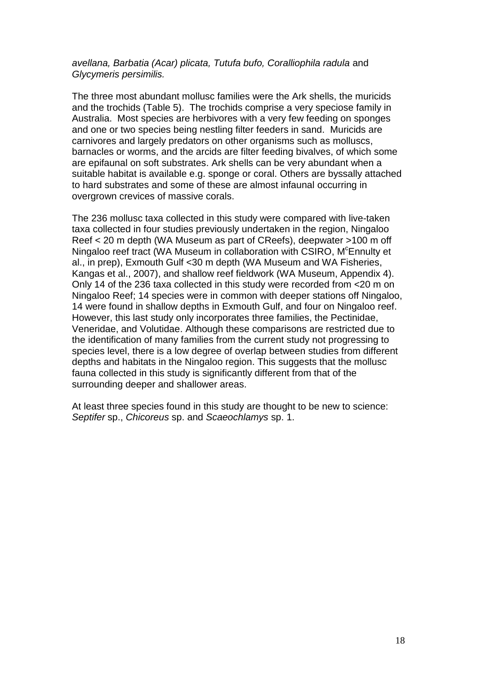### *avellana, Barbatia (Acar) plicata, Tutufa bufo, Coralliophila radula* and *Glycymeris persimilis.*

The three most abundant mollusc families were the Ark shells, the muricids and the trochids (Table 5). The trochids comprise a very speciose family in Australia. Most species are herbivores with a very few feeding on sponges and one or two species being nestling filter feeders in sand. Muricids are carnivores and largely predators on other organisms such as molluscs, barnacles or worms, and the arcids are filter feeding bivalves, of which some are epifaunal on soft substrates. Ark shells can be very abundant when a suitable habitat is available e.g. sponge or coral. Others are byssally attached to hard substrates and some of these are almost infaunal occurring in overgrown crevices of massive corals.

The 236 mollusc taxa collected in this study were compared with live-taken taxa collected in four studies previously undertaken in the region, Ningaloo Reef < 20 m depth (WA Museum as part of CReefs), deepwater >100 m off Ningaloo reef tract (WA Museum in collaboration with CSIRO, M<sup>c</sup>Ennulty et al., in prep), Exmouth Gulf <30 m depth (WA Museum and WA Fisheries, Kangas et al., 2007), and shallow reef fieldwork (WA Museum, Appendix 4). Only 14 of the 236 taxa collected in this study were recorded from <20 m on Ningaloo Reef; 14 species were in common with deeper stations off Ningaloo, 14 were found in shallow depths in Exmouth Gulf, and four on Ningaloo reef. However, this last study only incorporates three families, the Pectinidae, Veneridae, and Volutidae. Although these comparisons are restricted due to the identification of many families from the current study not progressing to species level, there is a low degree of overlap between studies from different depths and habitats in the Ningaloo region. This suggests that the mollusc fauna collected in this study is significantly different from that of the surrounding deeper and shallower areas.

At least three species found in this study are thought to be new to science: *Septifer* sp., *Chicoreus* sp. and *Scaeochlamys* sp. 1.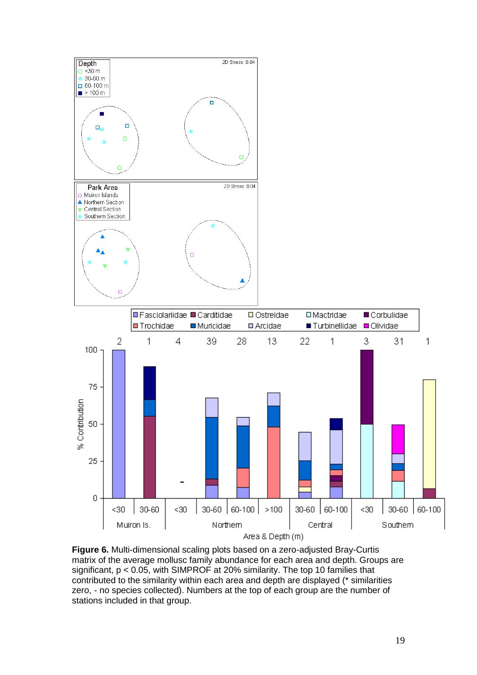



**Figure 6.** Multi-dimensional scaling plots based on a zero-adjusted Bray-Curtis matrix of the average mollusc family abundance for each area and depth. Groups are significant, p < 0.05, with SIMPROF at 20% similarity. The top 10 families that contributed to the similarity within each area and depth are displayed (\* similarities zero, - no species collected). Numbers at the top of each group are the number of stations included in that group.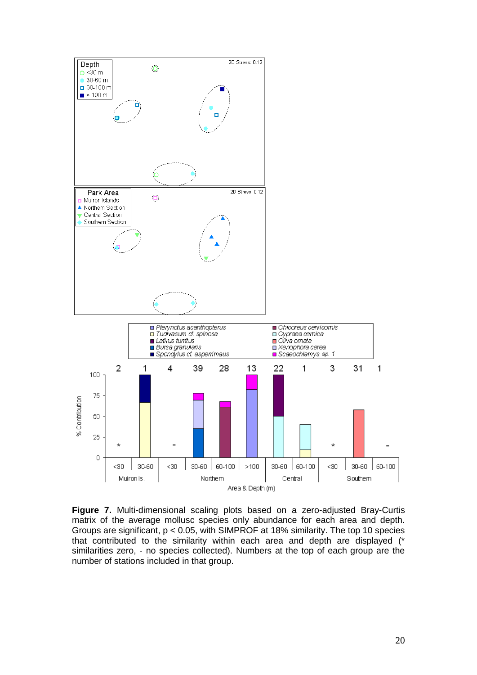

**Figure 7.** Multi-dimensional scaling plots based on a zero-adjusted Bray-Curtis matrix of the average mollusc species only abundance for each area and depth. Groups are significant, p < 0.05, with SIMPROF at 18% similarity. The top 10 species that contributed to the similarity within each area and depth are displayed (\* similarities zero, - no species collected). Numbers at the top of each group are the number of stations included in that group.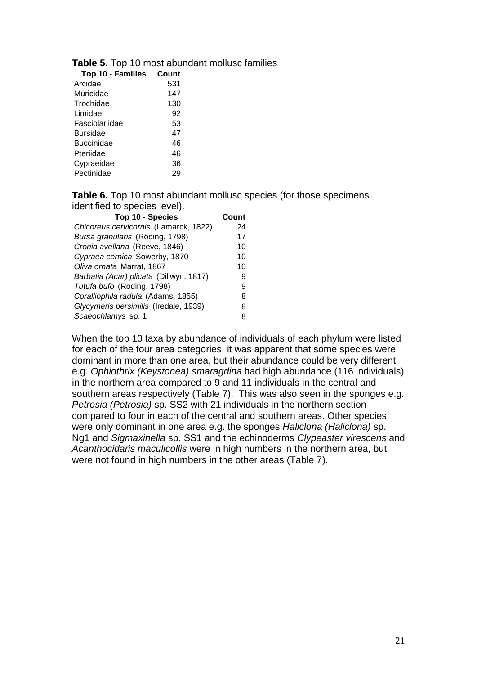| Top 10 - Families | Count |
|-------------------|-------|
| Arcidae           | 531   |
| Muricidae         | 147   |
| Trochidae         | 130   |
| Limidae           | 92    |
| Fasciolariidae    | 53    |
| Bursidae          | 47    |
| Buccinidae        | 46    |
| Pteriidae         | 46    |
| Cypraeidae        | 36    |
| Pectinidae        | 29    |
|                   |       |

**Table 5.** Top 10 most abundant mollusc families

**Table 6.** Top 10 most abundant mollusc species (for those specimens identified to species level).

| Top 10 - Species                        | Count |
|-----------------------------------------|-------|
| Chicoreus cervicornis (Lamarck, 1822)   | 24    |
| Bursa granularis (Röding, 1798)         | 17    |
| Cronia avellana (Reeve, 1846)           | 10    |
| Cypraea cernica Sowerby, 1870           | 10    |
| Oliva ornata Marrat, 1867               | 10    |
| Barbatia (Acar) plicata (Dillwyn, 1817) | 9     |
| Tutufa bufo (Röding, 1798)              | я     |
| Coralliophila radula (Adams, 1855)      | 8     |
| Glycymeris persimilis (Iredale, 1939)   | 8     |
| Scaeochlamys sp. 1                      | 8     |

When the top 10 taxa by abundance of individuals of each phylum were listed for each of the four area categories, it was apparent that some species were dominant in more than one area, but their abundance could be very different, e.g. *Ophiothrix (Keystonea) smaragdina* had high abundance (116 individuals) in the northern area compared to 9 and 11 individuals in the central and southern areas respectively (Table 7). This was also seen in the sponges e.g. *Petrosia (Petrosia)* sp. SS2 with 21 individuals in the northern section compared to four in each of the central and southern areas. Other species were only dominant in one area e.g. the sponges *Haliclona (Haliclona)* sp. Ng1 and *Sigmaxinella* sp. SS1 and the echinoderms *Clypeaster virescens* and *Acanthocidaris maculicollis* were in high numbers in the northern area, but were not found in high numbers in the other areas (Table 7).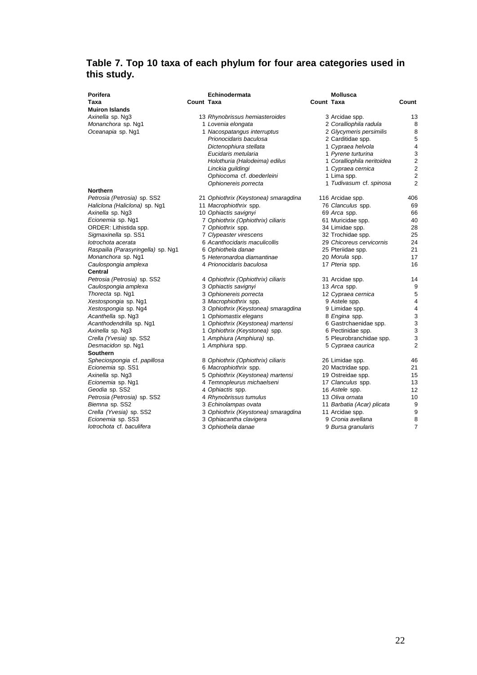# **Table 7. Top 10 taxa of each phylum for four area categories used in this study.**

| Porifera                           |            | Echinodermata                        |            | <b>Mollusca</b>            |                         |
|------------------------------------|------------|--------------------------------------|------------|----------------------------|-------------------------|
| Taxa                               | Count Taxa |                                      | Count Taxa |                            | Count                   |
| <b>Muiron Islands</b>              |            |                                      |            |                            |                         |
| Axinella sp. Ng3                   |            | 13 Rhynobrissus hemiasteroides       |            | 3 Arcidae spp.             | 13                      |
| Monanchora sp. Ng1                 |            | 1 Lovenia elongata                   |            | 2 Coralliophila radula     | 8                       |
| Oceanapia sp. Ng1                  |            | 1 Nacospatangus interruptus          |            | 2 Glycymeris persimilis    | 8                       |
|                                    |            | Prionocidaris baculosa               |            | 2 Carditidae spp.          | 5                       |
|                                    |            | Dictenophiura stellata               |            | 1 Cypraea helvola          | 4                       |
|                                    |            | Eucidaris metularia                  |            | 1 Pyrene turturina         | 3                       |
|                                    |            | Holothuria (Halodeima) edilus        |            | 1 Coralliophila neritoidea | $\overline{2}$          |
|                                    |            | Linckia guildingi                    |            | 1 Cypraea cernica          | $\overline{2}$          |
|                                    |            | Ophiocoma cf. doederleini            |            | 1 Lima spp.                | $\overline{2}$          |
|                                    |            | Ophionereis porrecta                 |            | 1 Tudivasum cf. spinosa    | $\overline{2}$          |
| Northern                           |            |                                      |            |                            |                         |
| Petrosia (Petrosia) sp. SS2        |            | 21 Ophiothrix (Keystonea) smaragdina |            | 116 Arcidae spp.           | 406                     |
| Haliclona (Haliclona) sp. Ng1      |            | 11 Macrophiothrix spp.               |            | 76 Clanculus spp.          | 69                      |
| Axinella sp. Ng3                   |            | 10 Ophiactis savignyi                |            | 69 Arca spp.               | 66                      |
| Ecionemia sp. Ng1                  |            | 7 Ophiothrix (Ophiothrix) ciliaris   |            | 61 Muricidae spp.          | 40                      |
| ORDER: Lithistida spp.             |            | 7 Ophiothrix spp.                    |            | 34 Limidae spp.            | 28                      |
| Sigmaxinella sp. SS1               |            | 7 Clypeaster virescens               |            | 32 Trochidae spp.          | 25                      |
| lotrochota acerata                 |            | 6 Acanthocidaris maculicollis        |            | 29 Chicoreus cervicornis   | 24                      |
| Raspailia (Parasyringella) sp. Ng1 |            | 6 Ophiothela danae                   |            | 25 Pteriidae spp.          | 21                      |
| Monanchora sp. Ng1                 |            | 5 Heteronardoa diamantinae           |            | 20 Morula spp.             | 17                      |
| Caulospongia amplexa               |            | 4 Prionocidaris baculosa             |            | 17 Pteria spp.             | 16                      |
| Central                            |            |                                      |            |                            |                         |
| Petrosia (Petrosia) sp. SS2        |            | 4 Ophiothrix (Ophiothrix) ciliaris   |            | 31 Arcidae spp.            | 14                      |
| Caulospongia amplexa               |            | 3 Ophiactis savignyi                 |            | 13 Arca spp.               | 9                       |
| Thorecta sp. Ng1                   |            | 3 Ophionereis porrecta               |            | 12 Cypraea cernica         | 5                       |
| Xestospongia sp. Ng1               |            | 3 Macrophiothrix spp.                |            | 9 Astele spp.              | $\overline{\mathbf{4}}$ |
| Xestospongia sp. Ng4               |            | 3 Ophiothrix (Keystonea) smaragdina  |            | 9 Limidae spp.             | $\overline{4}$          |
| Acanthella sp. Ng3                 |            | 1 Ophiomastix elegans                |            | 8 Engina spp.              | 3                       |
| Acanthodendrilla sp. Ng1           |            | 1 Ophiothrix (Keystonea) martensi    |            | 6 Gastrchaenidae spp.      | 3                       |
| Axinella sp. Ng3                   |            | 1 Ophiothrix (Keystonea) spp.        |            | 6 Pectinidae spp.          | 3                       |
| Crella (Yvesia) sp. SS2            |            | 1 Amphiura (Amphiura) sp.            |            | 5 Pleurobranchidae spp.    | 3                       |
| Desmacidon sp. Ng1                 |            | 1 Amphiura spp.                      |            | 5 Cypraea caurica          | $\overline{2}$          |
| <b>Southern</b>                    |            |                                      |            |                            |                         |
| Spheciospongia cf. papillosa       |            | 8 Ophiothrix (Ophiothrix) ciliaris   |            | 26 Limidae spp.            | 46                      |
| Ecionemia sp. SS1                  |            | 6 Macrophiothrix spp.                |            | 20 Mactridae spp.          | 21                      |
| Axinella sp. Ng3                   |            | 5 Ophiothrix (Keystonea) martensi    |            | 19 Ostreidae spp.          | 15                      |
| Ecionemia sp. Ng1                  |            | 4 Temnopleurus michaelseni           |            | 17 Clanculus spp.          | 13                      |
| Geodia sp. SS2                     |            | 4 Ophiactis spp.                     |            | 16 Astele spp.             | 12                      |
| Petrosia (Petrosia) sp. SS2        |            | 4 Rhynobrissus tumulus               |            | 13 Oliva ornata            | 10                      |
| Biemna sp. SS2                     |            | 3 Echinolampas ovata                 |            | 11 Barbatia (Acar) plicata | 9                       |
| Crella (Yvesia) sp. SS2            |            | 3 Ophiothrix (Keystonea) smaragdina  |            | 11 Arcidae spp.            | 9                       |
| Ecionemia sp. SS3                  |            | 3 Ophiacantha clavigera              |            | 9 Cronia avellana          | 8                       |
| lotrochota cf. baculifera          |            | 3 Ophiothela danae                   |            | 9 Bursa granularis         | $\overline{7}$          |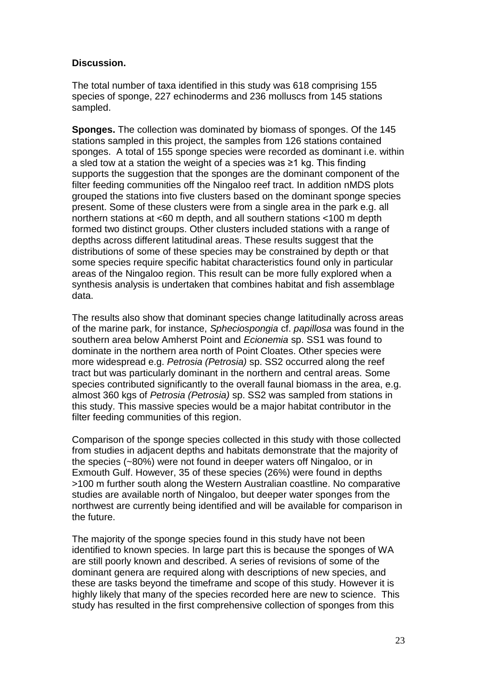## **Discussion.**

The total number of taxa identified in this study was 618 comprising 155 species of sponge, 227 echinoderms and 236 molluscs from 145 stations sampled.

**Sponges.** The collection was dominated by biomass of sponges. Of the 145 stations sampled in this project, the samples from 126 stations contained sponges. A total of 155 sponge species were recorded as dominant i.e. within a sled tow at a station the weight of a species was ≥1 kg. This finding supports the suggestion that the sponges are the dominant component of the filter feeding communities off the Ningaloo reef tract. In addition nMDS plots grouped the stations into five clusters based on the dominant sponge species present. Some of these clusters were from a single area in the park e.g. all northern stations at <60 m depth, and all southern stations <100 m depth formed two distinct groups. Other clusters included stations with a range of depths across different latitudinal areas. These results suggest that the distributions of some of these species may be constrained by depth or that some species require specific habitat characteristics found only in particular areas of the Ningaloo region. This result can be more fully explored when a synthesis analysis is undertaken that combines habitat and fish assemblage data.

The results also show that dominant species change latitudinally across areas of the marine park, for instance, *Spheciospongia* cf. *papillosa* was found in the southern area below Amherst Point and *Ecionemia* sp. SS1 was found to dominate in the northern area north of Point Cloates. Other species were more widespread e.g. *Petrosia (Petrosia)* sp. SS2 occurred along the reef tract but was particularly dominant in the northern and central areas. Some species contributed significantly to the overall faunal biomass in the area, e.g. almost 360 kgs of *Petrosia (Petrosia)* sp. SS2 was sampled from stations in this study. This massive species would be a major habitat contributor in the filter feeding communities of this region.

Comparison of the sponge species collected in this study with those collected from studies in adjacent depths and habitats demonstrate that the majority of the species (~80%) were not found in deeper waters off Ningaloo, or in Exmouth Gulf. However, 35 of these species (26%) were found in depths >100 m further south along the Western Australian coastline. No comparative studies are available north of Ningaloo, but deeper water sponges from the northwest are currently being identified and will be available for comparison in the future.

The majority of the sponge species found in this study have not been identified to known species. In large part this is because the sponges of WA are still poorly known and described. A series of revisions of some of the dominant genera are required along with descriptions of new species, and these are tasks beyond the timeframe and scope of this study. However it is highly likely that many of the species recorded here are new to science. This study has resulted in the first comprehensive collection of sponges from this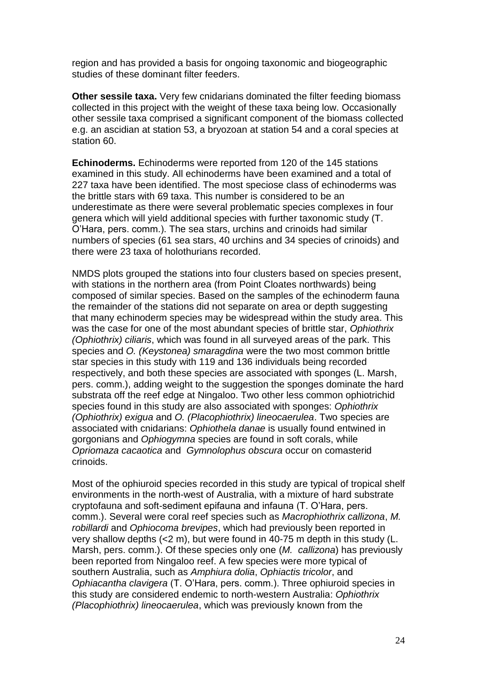region and has provided a basis for ongoing taxonomic and biogeographic studies of these dominant filter feeders.

**Other sessile taxa.** Very few cnidarians dominated the filter feeding biomass collected in this project with the weight of these taxa being low. Occasionally other sessile taxa comprised a significant component of the biomass collected e.g. an ascidian at station 53, a bryozoan at station 54 and a coral species at station 60.

**Echinoderms.** Echinoderms were reported from 120 of the 145 stations examined in this study. All echinoderms have been examined and a total of 227 taxa have been identified. The most speciose class of echinoderms was the brittle stars with 69 taxa. This number is considered to be an underestimate as there were several problematic species complexes in four genera which will yield additional species with further taxonomic study (T. O'Hara, pers. comm.). The sea stars, urchins and crinoids had similar numbers of species (61 sea stars, 40 urchins and 34 species of crinoids) and there were 23 taxa of holothurians recorded.

NMDS plots grouped the stations into four clusters based on species present, with stations in the northern area (from Point Cloates northwards) being composed of similar species. Based on the samples of the echinoderm fauna the remainder of the stations did not separate on area or depth suggesting that many echinoderm species may be widespread within the study area. This was the case for one of the most abundant species of brittle star, *Ophiothrix (Ophiothrix) ciliaris*, which was found in all surveyed areas of the park. This species and *O. (Keystonea) smaragdina* were the two most common brittle star species in this study with 119 and 136 individuals being recorded respectively, and both these species are associated with sponges (L. Marsh, pers. comm.), adding weight to the suggestion the sponges dominate the hard substrata off the reef edge at Ningaloo. Two other less common ophiotrichid species found in this study are also associated with sponges: *Ophiothrix (Ophiothrix) exigua* and *O. (Placophiothrix) lineocaerulea*. Two species are associated with cnidarians: *Ophiothela danae* is usually found entwined in gorgonians and *Ophiogymna* species are found in soft corals, while *Opriomaza cacaotica* and *Gymnolophus obscura* occur on comasterid crinoids.

Most of the ophiuroid species recorded in this study are typical of tropical shelf environments in the north-west of Australia, with a mixture of hard substrate cryptofauna and soft-sediment epifauna and infauna (T. O'Hara, pers. comm.). Several were coral reef species such as *Macrophiothrix callizona*, *M. robillardi* and *Ophiocoma brevipes*, which had previously been reported in very shallow depths (<2 m), but were found in 40-75 m depth in this study (L. Marsh, pers. comm.). Of these species only one (*M. callizona*) has previously been reported from Ningaloo reef. A few species were more typical of southern Australia, such as *Amphiura dolia*, *Ophiactis tricolor*, and *Ophiacantha clavigera* (T. O'Hara, pers. comm.). Three ophiuroid species in this study are considered endemic to north-western Australia: *Ophiothrix (Placophiothrix) lineocaerulea*, which was previously known from the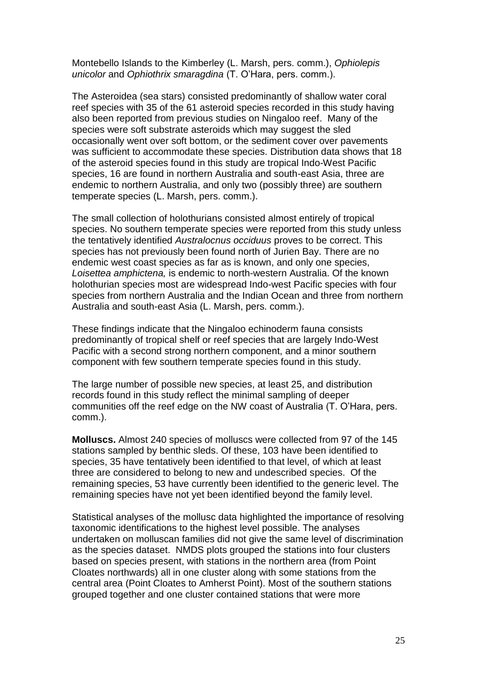Montebello Islands to the Kimberley (L. Marsh, pers. comm.), *Ophiolepis unicolor* and *Ophiothrix smaragdina* (T. O'Hara, pers. comm.).

The Asteroidea (sea stars) consisted predominantly of shallow water coral reef species with 35 of the 61 asteroid species recorded in this study having also been reported from previous studies on Ningaloo reef. Many of the species were soft substrate asteroids which may suggest the sled occasionally went over soft bottom, or the sediment cover over pavements was sufficient to accommodate these species. Distribution data shows that 18 of the asteroid species found in this study are tropical Indo-West Pacific species, 16 are found in northern Australia and south-east Asia, three are endemic to northern Australia, and only two (possibly three) are southern temperate species (L. Marsh, pers. comm.).

The small collection of holothurians consisted almost entirely of tropical species. No southern temperate species were reported from this study unless the tentatively identified *Australocnus occiduus* proves to be correct. This species has not previously been found north of Jurien Bay. There are no endemic west coast species as far as is known, and only one species, *Loisettea amphictena,* is endemic to north-western Australia. Of the known holothurian species most are widespread Indo-west Pacific species with four species from northern Australia and the Indian Ocean and three from northern Australia and south-east Asia (L. Marsh, pers. comm.).

These findings indicate that the Ningaloo echinoderm fauna consists predominantly of tropical shelf or reef species that are largely Indo-West Pacific with a second strong northern component, and a minor southern component with few southern temperate species found in this study.

The large number of possible new species, at least 25, and distribution records found in this study reflect the minimal sampling of deeper communities off the reef edge on the NW coast of Australia (T. O'Hara, pers. comm.).

**Molluscs.** Almost 240 species of molluscs were collected from 97 of the 145 stations sampled by benthic sleds. Of these, 103 have been identified to species, 35 have tentatively been identified to that level, of which at least three are considered to belong to new and undescribed species. Of the remaining species, 53 have currently been identified to the generic level. The remaining species have not yet been identified beyond the family level.

Statistical analyses of the mollusc data highlighted the importance of resolving taxonomic identifications to the highest level possible. The analyses undertaken on molluscan families did not give the same level of discrimination as the species dataset. NMDS plots grouped the stations into four clusters based on species present, with stations in the northern area (from Point Cloates northwards) all in one cluster along with some stations from the central area (Point Cloates to Amherst Point). Most of the southern stations grouped together and one cluster contained stations that were more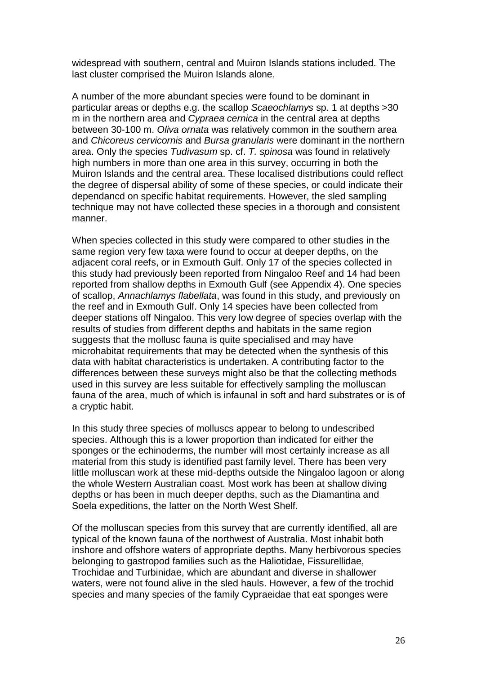widespread with southern, central and Muiron Islands stations included. The last cluster comprised the Muiron Islands alone.

A number of the more abundant species were found to be dominant in particular areas or depths e.g. the scallop *Scaeochlamys* sp. 1 at depths >30 m in the northern area and *Cypraea cernica* in the central area at depths between 30-100 m. *Oliva ornata* was relatively common in the southern area and *Chicoreus cervicornis* and *Bursa granularis* were dominant in the northern area. Only the species *Tudivasum* sp. cf. *T. spinosa* was found in relatively high numbers in more than one area in this survey, occurring in both the Muiron Islands and the central area. These localised distributions could reflect the degree of dispersal ability of some of these species, or could indicate their dependancd on specific habitat requirements. However, the sled sampling technique may not have collected these species in a thorough and consistent manner.

When species collected in this study were compared to other studies in the same region very few taxa were found to occur at deeper depths, on the adjacent coral reefs, or in Exmouth Gulf. Only 17 of the species collected in this study had previously been reported from Ningaloo Reef and 14 had been reported from shallow depths in Exmouth Gulf (see Appendix 4). One species of scallop, *Annachlamys flabellata*, was found in this study, and previously on the reef and in Exmouth Gulf. Only 14 species have been collected from deeper stations off Ningaloo. This very low degree of species overlap with the results of studies from different depths and habitats in the same region suggests that the mollusc fauna is quite specialised and may have microhabitat requirements that may be detected when the synthesis of this data with habitat characteristics is undertaken. A contributing factor to the differences between these surveys might also be that the collecting methods used in this survey are less suitable for effectively sampling the molluscan fauna of the area, much of which is infaunal in soft and hard substrates or is of a cryptic habit.

In this study three species of molluscs appear to belong to undescribed species. Although this is a lower proportion than indicated for either the sponges or the echinoderms, the number will most certainly increase as all material from this study is identified past family level. There has been very little molluscan work at these mid-depths outside the Ningaloo lagoon or along the whole Western Australian coast. Most work has been at shallow diving depths or has been in much deeper depths, such as the Diamantina and Soela expeditions, the latter on the North West Shelf.

Of the molluscan species from this survey that are currently identified, all are typical of the known fauna of the northwest of Australia. Most inhabit both inshore and offshore waters of appropriate depths. Many herbivorous species belonging to gastropod families such as the Haliotidae, Fissurellidae, Trochidae and Turbinidae, which are abundant and diverse in shallower waters, were not found alive in the sled hauls. However, a few of the trochid species and many species of the family Cypraeidae that eat sponges were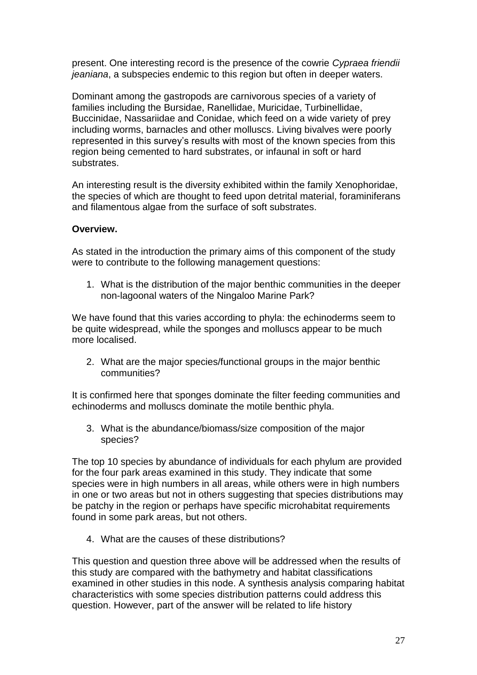present. One interesting record is the presence of the cowrie *Cypraea friendii jeaniana*, a subspecies endemic to this region but often in deeper waters.

Dominant among the gastropods are carnivorous species of a variety of families including the Bursidae, Ranellidae, Muricidae, Turbinellidae, Buccinidae, Nassariidae and Conidae, which feed on a wide variety of prey including worms, barnacles and other molluscs. Living bivalves were poorly represented in this survey's results with most of the known species from this region being cemented to hard substrates, or infaunal in soft or hard substrates.

An interesting result is the diversity exhibited within the family Xenophoridae, the species of which are thought to feed upon detrital material, foraminiferans and filamentous algae from the surface of soft substrates.

## **Overview.**

As stated in the introduction the primary aims of this component of the study were to contribute to the following management questions:

1. What is the distribution of the major benthic communities in the deeper non-lagoonal waters of the Ningaloo Marine Park?

We have found that this varies according to phyla: the echinoderms seem to be quite widespread, while the sponges and molluscs appear to be much more localised.

2. What are the major species/functional groups in the major benthic communities?

It is confirmed here that sponges dominate the filter feeding communities and echinoderms and molluscs dominate the motile benthic phyla.

3. What is the abundance/biomass/size composition of the major species?

The top 10 species by abundance of individuals for each phylum are provided for the four park areas examined in this study. They indicate that some species were in high numbers in all areas, while others were in high numbers in one or two areas but not in others suggesting that species distributions may be patchy in the region or perhaps have specific microhabitat requirements found in some park areas, but not others.

4. What are the causes of these distributions?

This question and question three above will be addressed when the results of this study are compared with the bathymetry and habitat classifications examined in other studies in this node. A synthesis analysis comparing habitat characteristics with some species distribution patterns could address this question. However, part of the answer will be related to life history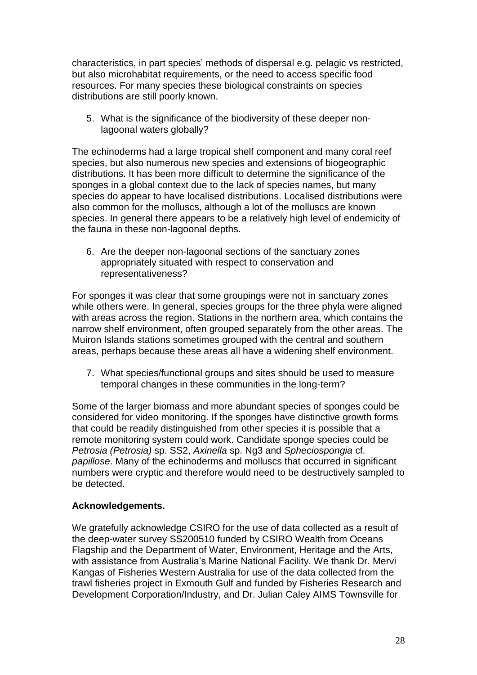characteristics, in part species' methods of dispersal e.g. pelagic vs restricted, but also microhabitat requirements, or the need to access specific food resources. For many species these biological constraints on species distributions are still poorly known.

5. What is the significance of the biodiversity of these deeper nonlagoonal waters globally?

The echinoderms had a large tropical shelf component and many coral reef species, but also numerous new species and extensions of biogeographic distributions. It has been more difficult to determine the significance of the sponges in a global context due to the lack of species names, but many species do appear to have localised distributions. Localised distributions were also common for the molluscs, although a lot of the molluscs are known species. In general there appears to be a relatively high level of endemicity of the fauna in these non-lagoonal depths.

6. Are the deeper non-lagoonal sections of the sanctuary zones appropriately situated with respect to conservation and representativeness?

For sponges it was clear that some groupings were not in sanctuary zones while others were. In general, species groups for the three phyla were aligned with areas across the region. Stations in the northern area, which contains the narrow shelf environment, often grouped separately from the other areas. The Muiron Islands stations sometimes grouped with the central and southern areas, perhaps because these areas all have a widening shelf environment.

7. What species/functional groups and sites should be used to measure temporal changes in these communities in the long-term?

Some of the larger biomass and more abundant species of sponges could be considered for video monitoring. If the sponges have distinctive growth forms that could be readily distinguished from other species it is possible that a remote monitoring system could work. Candidate sponge species could be *Petrosia (Petrosia)* sp. SS2, *Axinella* sp. Ng3 and *Spheciospongia* cf. *papillose*. Many of the echinoderms and molluscs that occurred in significant numbers were cryptic and therefore would need to be destructively sampled to be detected.

### **Acknowledgements.**

We gratefully acknowledge CSIRO for the use of data collected as a result of the deep-water survey SS200510 funded by CSIRO Wealth from Oceans Flagship and the Department of Water, Environment, Heritage and the Arts, with assistance from Australia's Marine National Facility. We thank Dr. Mervi Kangas of Fisheries Western Australia for use of the data collected from the trawl fisheries project in Exmouth Gulf and funded by Fisheries Research and Development Corporation/Industry, and Dr. Julian Caley AIMS Townsville for